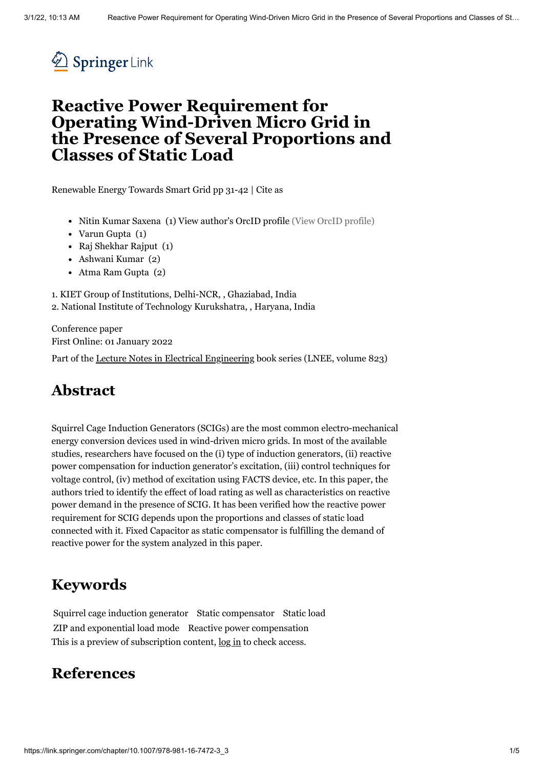

## **Reactive Power Requirement for Operating Wind-Driven Micro Grid in the Presence of Several Proportions and Classes of Static Load**

[Renewable](https://link.springer.com/book/10.1007/978-981-16-7472-3) Energy Towards Smart Grid pp 31-42 | [Cite](#page-3-0) as

- Nitin Kumar Saxena (1) View [author's](http://orcid.org/0000-0002-6520-1749) OrcID profile (View OrcID profile)
- Varun Gupta (1)
- Raj Shekhar Rajput (1)
- Ashwani Kumar (2)
- Atma Ram Gupta (2)

1. KIET Group of Institutions, Delhi-NCR, , Ghaziabad, India 2. National Institute of Technology Kurukshatra, , Haryana, India

Conference paper First Online: 01 January 2022

Part of the Lecture Notes in Electrical [Engineering](https://link.springer.com/bookseries/7818) book series (LNEE, volume 823)

## **Abstract**

Squirrel Cage Induction Generators (SCIGs) are the most common electro-mechanical energy conversion devices used in wind-driven micro grids. In most of the available studies, researchers have focused on the (i) type of induction generators, (ii) reactive power compensation for induction generator's excitation, (iii) control techniques for voltage control, (iv) method of excitation using FACTS device, etc. In this paper, the authors tried to identify the effect of load rating as well as characteristics on reactive power demand in the presence of SCIG. It has been verified how the reactive power requirement for SCIG depends upon the proportions and classes of static load connected with it. Fixed Capacitor as static compensator is fulfilling the demand of reactive power for the system analyzed in this paper.

### **Keywords**

Squirrel cage induction generator Static compensator Static load ZIP and exponential load mode Reactive power compensation This is a preview of subscription content,  $log in$  $log in$  to check access.

## **References**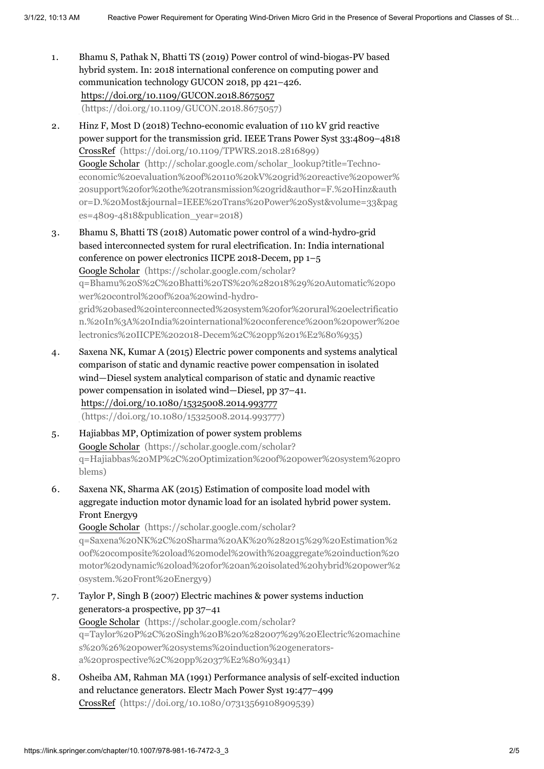- 1. Bhamu S, Pathak N, Bhatti TS (2019) Power control of wind-biogas-PV based hybrid system. In: 2018 international conference on computing power and communication technology GUCON 2018, pp 421–426. https://doi.org/10.1109/GUCON.2018.8675057 [\(https://doi.org/10.1109/GUCON.2018.8675057\)](https://doi.org/10.1109/GUCON.2018.8675057)
- 2. Hinz F, Most D (2018) Techno-economic evaluation of 110 kV grid reactive power support for the transmission grid. IEEE Trans Power Syst 33:4809–4818 CrossRef [\(https://doi.org/10.1109/TPWRS.2018.2816899\)](https://doi.org/10.1109/TPWRS.2018.2816899) Google Scholar (http://scholar.google.com/scholar\_lookup?title=Techno[economic%20evaluation%20of%20110%20kV%20grid%20reactive%20power%](http://scholar.google.com/scholar_lookup?title=Techno-economic%20evaluation%20of%20110%20kV%20grid%20reactive%20power%20support%20for%20the%20transmission%20grid&author=F.%20Hinz&author=D.%20Most&journal=IEEE%20Trans%20Power%20Syst&volume=33&pages=4809-4818&publication_year=2018) 20support%20for%20the%20transmission%20grid&author=F.%20Hinz&auth or=D.%20Most&journal=IEEE%20Trans%20Power%20Syst&volume=33&pag es=4809-4818&publication\_year=2018)
- 3. Bhamu S, Bhatti TS (2018) Automatic power control of a wind-hydro-grid based interconnected system for rural electrification. In: India international conference on power electronics IICPE 2018-Decem, pp 1–5 Google Scholar (https://scholar.google.com/scholar? q=Bhamu%20S%2C%20Bhatti%20TS%20%282018%29%20Automatic%20po wer%20control%20of%20a%20wind-hydrogrid%20based%20interconnected%20system%20for%20rural%20electrificatio [n.%20In%3A%20India%20international%20conference%20on%20power%20e](https://scholar.google.com/scholar?q=Bhamu%20S%2C%20Bhatti%20TS%20%282018%29%20Automatic%20power%20control%20of%20a%20wind-hydro-grid%20based%20interconnected%20system%20for%20rural%20electrification.%20In%3A%20India%20international%20conference%20on%20power%20electronics%20IICPE%202018-Decem%2C%20pp%201%E2%80%935) lectronics%20IICPE%202018-Decem%2C%20pp%201%E2%80%935)
- 4. Saxena NK, Kumar A (2015) Electric power components and systems analytical comparison of static and dynamic reactive power compensation in isolated wind—Diesel system analytical comparison of static and dynamic reactive power compensation in isolated wind—Diesel, pp 37–41. https://doi.org/10.1080/15325008.2014.993777 [\(https://doi.org/10.1080/15325008.2014.993777\)](https://doi.org/10.1080/15325008.2014.993777)
- 5. Hajiabbas MP, Optimization of power system problems Google Scholar (https://scholar.google.com/scholar? [q=Hajiabbas%20MP%2C%20Optimization%20of%20power%20system%20pro](https://scholar.google.com/scholar?q=Hajiabbas%20MP%2C%20Optimization%20of%20power%20system%20problems) blems)
- 6. Saxena NK, Sharma AK (2015) Estimation of composite load model with aggregate induction motor dynamic load for an isolated hybrid power system. Front Energy9

Google Scholar (https://scholar.google.com/scholar? q=Saxena%20NK%2C%20Sharma%20AK%20%282015%29%20Estimation%2 0of%20composite%20load%20model%20with%20aggregate%20induction%20 [motor%20dynamic%20load%20for%20an%20isolated%20hybrid%20power%2](https://scholar.google.com/scholar?q=Saxena%20NK%2C%20Sharma%20AK%20%282015%29%20Estimation%20of%20composite%20load%20model%20with%20aggregate%20induction%20motor%20dynamic%20load%20for%20an%20isolated%20hybrid%20power%20system.%20Front%20Energy9) 0system.%20Front%20Energy9)

- 7. Taylor P, Singh B (2007) Electric machines & power systems induction generators-a prospective, pp 37–41 Google Scholar (https://scholar.google.com/scholar? [q=Taylor%20P%2C%20Singh%20B%20%282007%29%20Electric%20machine](https://scholar.google.com/scholar?q=Taylor%20P%2C%20Singh%20B%20%282007%29%20Electric%20machines%20%26%20power%20systems%20induction%20generators-a%20prospective%2C%20pp%2037%E2%80%9341) s%20%26%20power%20systems%20induction%20generatorsa%20prospective%2C%20pp%2037%E2%80%9341)
- 8. Osheiba AM, Rahman MA (1991) Performance analysis of self-excited induction and reluctance generators. Electr Mach Power Syst 19:477–499 CrossRef [\(https://doi.org/10.1080/07313569108909539\)](https://doi.org/10.1080/07313569108909539)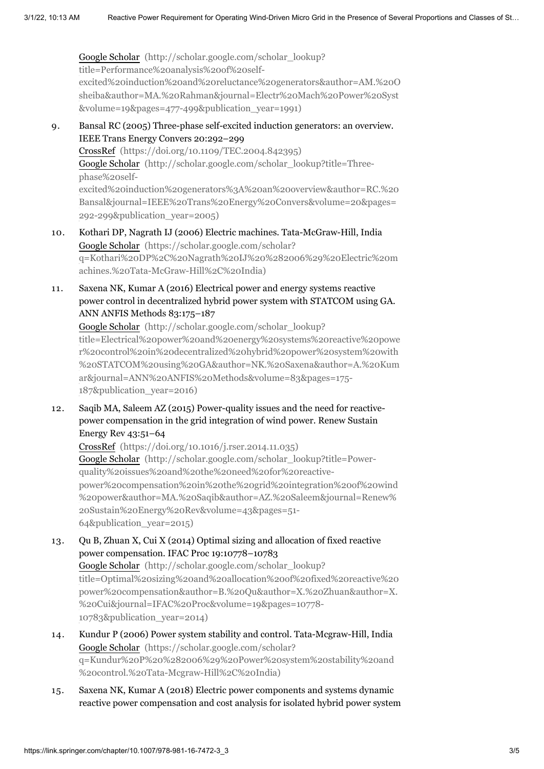Google Scholar (http://scholar.google.com/scholar\_lookup? title=Performance%20analysis%20of%20self[excited%20induction%20and%20reluctance%20generators&author=AM.%20O](http://scholar.google.com/scholar_lookup?title=Performance%20analysis%20of%20self-excited%20induction%20and%20reluctance%20generators&author=AM.%20Osheiba&author=MA.%20Rahman&journal=Electr%20Mach%20Power%20Syst&volume=19&pages=477-499&publication_year=1991) sheiba&author=MA.%20Rahman&journal=Electr%20Mach%20Power%20Syst &volume=19&pages=477-499&publication\_year=1991)

- 9. Bansal RC (2005) Three-phase self-excited induction generators: an overview. IEEE Trans Energy Convers 20:292–299 CrossRef [\(https://doi.org/10.1109/TEC.2004.842395\)](https://doi.org/10.1109/TEC.2004.842395) Google Scholar (http://scholar.google.com/scholar\_lookup?title=Threephase%20self[excited%20induction%20generators%3A%20an%20overview&author=RC.%20](http://scholar.google.com/scholar_lookup?title=Three-phase%20self-excited%20induction%20generators%3A%20an%20overview&author=RC.%20Bansal&journal=IEEE%20Trans%20Energy%20Convers&volume=20&pages=292-299&publication_year=2005) Bansal&journal=IEEE%20Trans%20Energy%20Convers&volume=20&pages= 292-299&publication\_year=2005)
- 10. Kothari DP, Nagrath IJ (2006) Electric machines. Tata-McGraw-Hill, India Google Scholar (https://scholar.google.com/scholar? [q=Kothari%20DP%2C%20Nagrath%20IJ%20%282006%29%20Electric%20m](https://scholar.google.com/scholar?q=Kothari%20DP%2C%20Nagrath%20IJ%20%282006%29%20Electric%20machines.%20Tata-McGraw-Hill%2C%20India) achines.%20Tata-McGraw-Hill%2C%20India)
- 11. Saxena NK, Kumar A (2016) Electrical power and energy systems reactive power control in decentralized hybrid power system with STATCOM using GA. ANN ANFIS Methods 83:175–187

Google Scholar (http://scholar.google.com/scholar\_lookup? [title=Electrical%20power%20and%20energy%20systems%20reactive%20powe](http://scholar.google.com/scholar_lookup?title=Electrical%20power%20and%20energy%20systems%20reactive%20power%20control%20in%20decentralized%20hybrid%20power%20system%20with%20STATCOM%20using%20GA&author=NK.%20Saxena&author=A.%20Kumar&journal=ANN%20ANFIS%20Methods&volume=83&pages=175-187&publication_year=2016) r%20control%20in%20decentralized%20hybrid%20power%20system%20with %20STATCOM%20using%20GA&author=NK.%20Saxena&author=A.%20Kum ar&journal=ANN%20ANFIS%20Methods&volume=83&pages=175- 187&publication\_year=2016)

12. Saqib MA, Saleem AZ (2015) Power-quality issues and the need for reactivepower compensation in the grid integration of wind power. Renew Sustain Energy Rev 43:51–64

CrossRef [\(https://doi.org/10.1016/j.rser.2014.11.035\)](https://doi.org/10.1016/j.rser.2014.11.035) Google Scholar (http://scholar.google.com/scholar\_lookup?title=Powerquality%20issues%20and%20the%20need%20for%20reactive[power%20compensation%20in%20the%20grid%20integration%20of%20wind](http://scholar.google.com/scholar_lookup?title=Power-quality%20issues%20and%20the%20need%20for%20reactive-power%20compensation%20in%20the%20grid%20integration%20of%20wind%20power&author=MA.%20Saqib&author=AZ.%20Saleem&journal=Renew%20Sustain%20Energy%20Rev&volume=43&pages=51-64&publication_year=2015) %20power&author=MA.%20Saqib&author=AZ.%20Saleem&journal=Renew% 20Sustain%20Energy%20Rev&volume=43&pages=51- 64&publication\_year=2015)

- 13. Qu B, Zhuan X, Cui X (2014) Optimal sizing and allocation of fixed reactive power compensation. IFAC Proc 19:10778–10783 Google Scholar (http://scholar.google.com/scholar\_lookup? [title=Optimal%20sizing%20and%20allocation%20of%20fixed%20reactive%20](http://scholar.google.com/scholar_lookup?title=Optimal%20sizing%20and%20allocation%20of%20fixed%20reactive%20power%20compensation&author=B.%20Qu&author=X.%20Zhuan&author=X.%20Cui&journal=IFAC%20Proc&volume=19&pages=10778-10783&publication_year=2014) power%20compensation&author=B.%20Qu&author=X.%20Zhuan&author=X. %20Cui&journal=IFAC%20Proc&volume=19&pages=10778- 10783&publication\_year=2014)
- 14. Kundur P (2006) Power system stability and control. Tata-Mcgraw-Hill, India Google Scholar (https://scholar.google.com/scholar? [q=Kundur%20P%20%282006%29%20Power%20system%20stability%20and](https://scholar.google.com/scholar?q=Kundur%20P%20%282006%29%20Power%20system%20stability%20and%20control.%20Tata-Mcgraw-Hill%2C%20India) %20control.%20Tata-Mcgraw-Hill%2C%20India)
- 15. Saxena NK, Kumar A (2018) Electric power components and systems dynamic reactive power compensation and cost analysis for isolated hybrid power system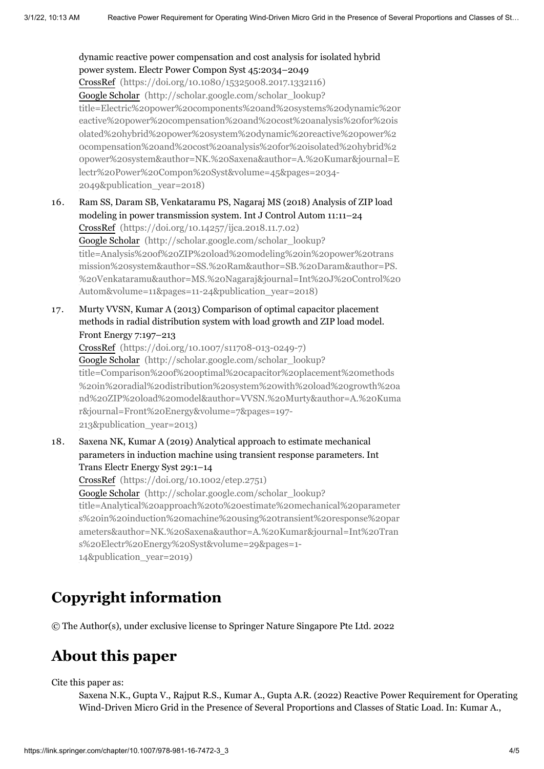#### dynamic reactive power compensation and cost analysis for isolated hybrid power system. Electr Power Compon Syst 45:2034–2049

CrossRef [\(https://doi.org/10.1080/15325008.2017.1332116\)](https://doi.org/10.1080/15325008.2017.1332116) Google Scholar (http://scholar.google.com/scholar\_lookup? [title=Electric%20power%20components%20and%20systems%20dynamic%20r](http://scholar.google.com/scholar_lookup?title=Electric%20power%20components%20and%20systems%20dynamic%20reactive%20power%20compensation%20and%20cost%20analysis%20for%20isolated%20hybrid%20power%20system%20dynamic%20reactive%20power%20compensation%20and%20cost%20analysis%20for%20isolated%20hybrid%20power%20system&author=NK.%20Saxena&author=A.%20Kumar&journal=Electr%20Power%20Compon%20Syst&volume=45&pages=2034-2049&publication_year=2018) eactive%20power%20compensation%20and%20cost%20analysis%20for%20is olated%20hybrid%20power%20system%20dynamic%20reactive%20power%2 0compensation%20and%20cost%20analysis%20for%20isolated%20hybrid%2 0power%20system&author=NK.%20Saxena&author=A.%20Kumar&journal=E lectr%20Power%20Compon%20Syst&volume=45&pages=2034- 2049&publication\_year=2018)

16. Ram SS, Daram SB, Venkataramu PS, Nagaraj MS (2018) Analysis of ZIP load modeling in power transmission system. Int J Control Autom 11:11–24 CrossRef [\(https://doi.org/10.14257/ijca.2018.11.7.02\)](https://doi.org/10.14257/ijca.2018.11.7.02) Google Scholar (http://scholar.google.com/scholar\_lookup? title=Analysis%20of%20ZIP%20load%20modeling%20in%20power%20trans mission%20system&author=SS.%20Ram&author=SB.%20Daram&author=PS. [%20Venkataramu&author=MS.%20Nagaraj&journal=Int%20J%20Control%20](http://scholar.google.com/scholar_lookup?title=Analysis%20of%20ZIP%20load%20modeling%20in%20power%20transmission%20system&author=SS.%20Ram&author=SB.%20Daram&author=PS.%20Venkataramu&author=MS.%20Nagaraj&journal=Int%20J%20Control%20Autom&volume=11&pages=11-24&publication_year=2018) Autom&volume=11&pages=11-24&publication\_year=2018)

17. Murty VVSN, Kumar A (2013) Comparison of optimal capacitor placement methods in radial distribution system with load growth and ZIP load model. Front Energy 7:197–213

CrossRef [\(https://doi.org/10.1007/s11708-013-0249-7\)](https://doi.org/10.1007/s11708-013-0249-7) Google Scholar (http://scholar.google.com/scholar\_lookup? title=Comparison%20of%20optimal%20capacitor%20placement%20methods %20in%20radial%20distribution%20system%20with%20load%20growth%20a [nd%20ZIP%20load%20model&author=VVSN.%20Murty&author=A.%20Kuma](http://scholar.google.com/scholar_lookup?title=Comparison%20of%20optimal%20capacitor%20placement%20methods%20in%20radial%20distribution%20system%20with%20load%20growth%20and%20ZIP%20load%20model&author=VVSN.%20Murty&author=A.%20Kumar&journal=Front%20Energy&volume=7&pages=197-213&publication_year=2013) r&journal=Front%20Energy&volume=7&pages=197- 213&publication\_year=2013)

18. Saxena NK, Kumar A (2019) Analytical approach to estimate mechanical parameters in induction machine using transient response parameters. Int Trans Electr Energy Syst 29:1–14

CrossRef [\(https://doi.org/10.1002/etep.2751\)](https://doi.org/10.1002/etep.2751)

Google Scholar (http://scholar.google.com/scholar\_lookup? [title=Analytical%20approach%20to%20estimate%20mechanical%20parameter](http://scholar.google.com/scholar_lookup?title=Analytical%20approach%20to%20estimate%20mechanical%20parameters%20in%20induction%20machine%20using%20transient%20response%20parameters&author=NK.%20Saxena&author=A.%20Kumar&journal=Int%20Trans%20Electr%20Energy%20Syst&volume=29&pages=1-14&publication_year=2019) s%20in%20induction%20machine%20using%20transient%20response%20par ameters&author=NK.%20Saxena&author=A.%20Kumar&journal=Int%20Tran s%20Electr%20Energy%20Syst&volume=29&pages=1- 14&publication\_year=2019)

# **Copyright information**

© The Author(s), under exclusive license to Springer Nature Singapore Pte Ltd. 2022

# **About this paper**

<span id="page-3-0"></span>Cite this paper as:

Saxena N.K., Gupta V., Rajput R.S., Kumar A., Gupta A.R. (2022) Reactive Power Requirement for Operating Wind-Driven Micro Grid in the Presence of Several Proportions and Classes of Static Load. In: Kumar A.,